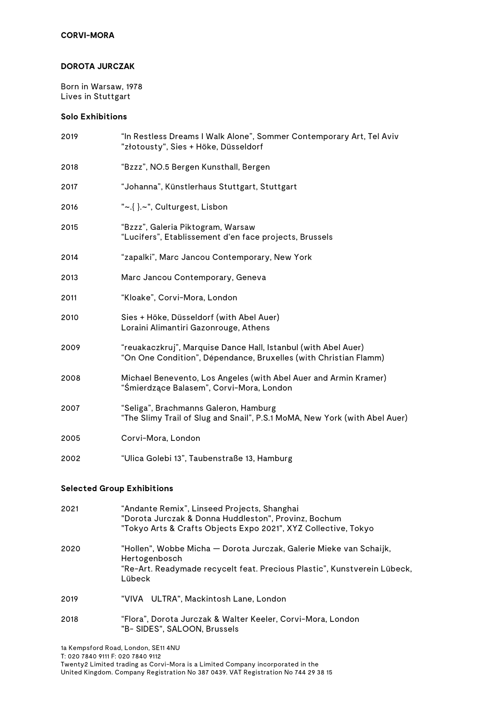#### **DOROTA JURCZAK**

Born in Warsaw, 1978 Lives in Stuttgart

## **Solo Exhibitions**

| 2019 | "In Restless Dreams I Walk Alone", Sommer Contemporary Art, Tel Aviv<br>"złotousty", Sies + Höke, Düsseldorf                       |
|------|------------------------------------------------------------------------------------------------------------------------------------|
| 2018 | "Bzzz", NO.5 Bergen Kunsthall, Bergen                                                                                              |
| 2017 | "Johanna", Künstlerhaus Stuttgart, Stuttgart                                                                                       |
| 2016 | "~.{ }.~", Culturgest, Lisbon                                                                                                      |
| 2015 | "Bzzz", Galeria Piktogram, Warsaw<br>"Lucifers", Etablissement d'en face projects, Brussels                                        |
| 2014 | "zapalki", Marc Jancou Contemporary, New York                                                                                      |
| 2013 | Marc Jancou Contemporary, Geneva                                                                                                   |
| 2011 | "Kloake", Corvi-Mora, London                                                                                                       |
| 2010 | Sies + Höke, Düsseldorf (with Abel Auer)<br>Loraini Alimantiri Gazonrouge, Athens                                                  |
| 2009 | "reuakaczkruj", Marquise Dance Hall, Istanbul (with Abel Auer)<br>"On One Condition", Dépendance, Bruxelles (with Christian Flamm) |
| 2008 | Michael Benevento, Los Angeles (with Abel Auer and Armin Kramer)<br>"Śmierdzące Balasem", Corvi-Mora, London                       |
| 2007 | "Seliga", Brachmanns Galeron, Hamburg<br>"The Slimy Trail of Slug and Snail", P.S.1 MoMA, New York (with Abel Auer)                |
| 2005 | Corvi-Mora, London                                                                                                                 |
| 2002 | "Ulica Golebi 13", Taubenstraße 13, Hamburg                                                                                        |

#### **Selected Group Exhibitions**

| 2021 | "Andante Remix", Linseed Projects, Shanghai<br>"Dorota Jurczak & Donna Huddleston", Provinz, Bochum<br>"Tokyo Arts & Crafts Objects Expo 2021", XYZ Collective, Tokyo     |
|------|---------------------------------------------------------------------------------------------------------------------------------------------------------------------------|
| 2020 | "Hollen", Wobbe Micha — Dorota Jurczak, Galerie Mieke van Schaijk,<br>Hertogenbosch<br>"Re-Art. Readymade recycelt feat. Precious Plastic", Kunstverein Lübeck,<br>Lübeck |
| 2019 | "VIVA ULTRA", Mackintosh Lane, London                                                                                                                                     |
| 2018 | "Flora", Dorota Jurczak & Walter Keeler, Corvi-Mora, London<br>"B- SIDES", SALOON, Brussels                                                                               |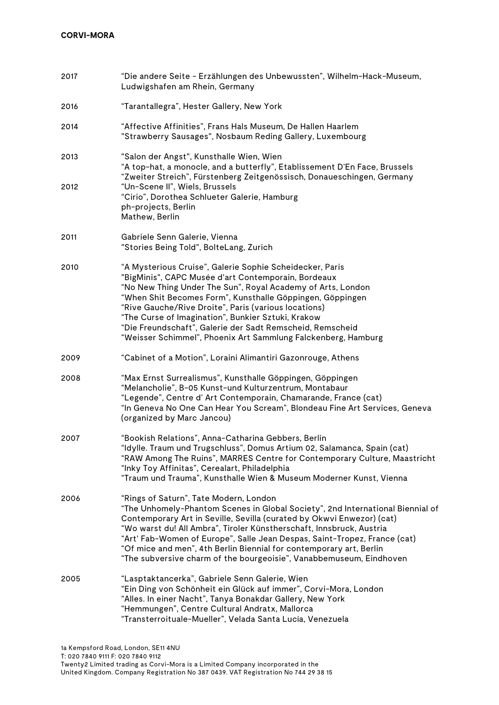| 2017 | "Die andere Seite - Erzählungen des Unbewussten", Wilhelm-Hack-Museum,<br>Ludwigshafen am Rhein, Germany                                                                                                                                                                                                                                                                                                                                                                                             |
|------|------------------------------------------------------------------------------------------------------------------------------------------------------------------------------------------------------------------------------------------------------------------------------------------------------------------------------------------------------------------------------------------------------------------------------------------------------------------------------------------------------|
| 2016 | "Tarantallegra", Hester Gallery, New York                                                                                                                                                                                                                                                                                                                                                                                                                                                            |
| 2014 | "Affective Affinities", Frans Hals Museum, De Hallen Haarlem<br>"Strawberry Sausages", Nosbaum Reding Gallery, Luxembourg                                                                                                                                                                                                                                                                                                                                                                            |
| 2013 | "Salon der Angst", Kunsthalle Wien, Wien<br>"A top-hat, a monocle, and a butterfly", Etablissement D'En Face, Brussels<br>"Zweiter Streich", Fürstenberg Zeitgenössisch, Donaueschingen, Germany                                                                                                                                                                                                                                                                                                     |
| 2012 | "Un-Scene II", Wiels, Brussels<br>"Cirio", Dorothea Schlueter Galerie, Hamburg<br>ph-projects, Berlin<br>Mathew, Berlin                                                                                                                                                                                                                                                                                                                                                                              |
| 2011 | Gabriele Senn Galerie, Vienna<br>"Stories Being Told", BolteLang, Zurich                                                                                                                                                                                                                                                                                                                                                                                                                             |
| 2010 | "A Mysterious Cruise", Galerie Sophie Scheidecker, Paris<br>"BigMinis", CAPC Musée d'art Contemporain, Bordeaux<br>"No New Thing Under The Sun", Royal Academy of Arts, London<br>"When Shit Becomes Form", Kunsthalle Göppingen, Göppingen<br>"Rive Gauche/Rive Droite", Paris (various locations)<br>"The Curse of Imagination", Bunkier Sztuki, Krakow<br>"Die Freundschaft", Galerie der Sadt Remscheid, Remscheid<br>"Weisser Schimmel", Phoenix Art Sammlung Falckenberg, Hamburg              |
| 2009 | "Cabinet of a Motion", Loraini Alimantiri Gazonrouge, Athens                                                                                                                                                                                                                                                                                                                                                                                                                                         |
| 2008 | "Max Ernst Surrealismus", Kunsthalle Göppingen, Göppingen<br>"Melancholie", B-05 Kunst-und Kulturzentrum, Montabaur<br>"Legende", Centre d' Art Contemporain, Chamarande, France (cat)<br>"In Geneva No One Can Hear You Scream", Blondeau Fine Art Services, Geneva<br>(organized by Marc Jancou)                                                                                                                                                                                                   |
| 2007 | "Bookish Relations", Anna-Catharina Gebbers, Berlin<br>"Idylle. Traum und Trugschluss", Domus Artium 02, Salamanca, Spain (cat)<br>"RAW Among The Ruins", MARRES Centre for Contemporary Culture, Maastricht<br>"Inky Toy Affinitas", Cerealart, Philadelphia<br>"Traum und Trauma", Kunsthalle Wien & Museum Moderner Kunst, Vienna                                                                                                                                                                 |
| 2006 | "Rings of Saturn", Tate Modern, London<br>"The Unhomely-Phantom Scenes in Global Society", 2nd International Biennial of<br>Contemporary Art in Seville, Sevilla (curated by Okwvi Enwezor) (cat)<br>"Wo warst du! All Ambra", Tiroler Künstherschaft, Innsbruck, Austria<br>"Art' Fab-Women of Europe", Salle Jean Despas, Saint-Tropez, France (cat)<br>"Of mice and men", 4th Berlin Biennial for contemporary art, Berlin<br>"The subversive charm of the bourgeoisie", Vanabbemuseum, Eindhoven |
| 2005 | "Lasptaktancerka", Gabriele Senn Galerie, Wien<br>"Ein Ding von Schönheit ein Glück auf immer", Corvi-Mora, London<br>"Alles. In einer Nacht", Tanya Bonakdar Gallery, New York<br>"Hemmungen", Centre Cultural Andratx, Mallorca<br>"Transterroituale-Mueller", Velada Santa Lucía, Venezuela                                                                                                                                                                                                       |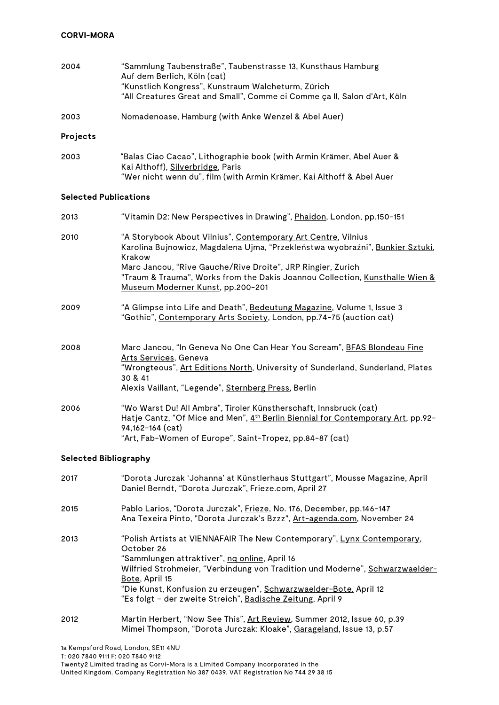| 2004 | "Sammlung Taubenstraße", Taubenstrasse 13, Kunsthaus Hamburg<br>Auf dem Berlich, Köln (cat)                                    |
|------|--------------------------------------------------------------------------------------------------------------------------------|
|      | "Kunstlich Kongress", Kunstraum Walcheturm, Zürich<br>"All Creatures Great and Small", Comme ci Comme ça II, Salon d'Art, Köln |

2003 Nomadenoase, Hamburg (with Anke Wenzel & Abel Auer)

## **Projects**

| 2003 | "Balas Ciao Cacao", Lithographie book (with Armin Krämer, Abel Auer & |
|------|-----------------------------------------------------------------------|
|      | Kai Althoff), <u>Silverbridge</u> , Paris                             |
|      | "Wer nicht wenn du", film (with Armin Krämer, Kai Althoff & Abel Auer |

## **Selected Publications**

| 2013 | "Vitamin D2: New Perspectives in Drawing", Phaidon, London, pp.150-151                                                                                                                                                                                                                                                                                  |
|------|---------------------------------------------------------------------------------------------------------------------------------------------------------------------------------------------------------------------------------------------------------------------------------------------------------------------------------------------------------|
| 2010 | "A Storybook About Vilnius", Contemporary Art Centre, Vilnius<br>Karolina Bujnowicz, Magdalena Ujma, "Przekleństwa wyobraźni", Bunkier Sztuki,<br>Krakow<br>Marc Jancou, "Rive Gauche/Rive Droite", JRP Ringier, Zurich<br>"Traum & Trauma", Works from the Dakis Joannou Collection, <u>Kunsthalle Wien &amp;</u><br>Museum Moderner Kunst, pp.200-201 |
| 2009 | "A Glimpse into Life and Death", Bedeutung Magazine, Volume 1, Issue 3<br>"Gothic", Contemporary Arts Society, London, pp.74-75 (auction cat)                                                                                                                                                                                                           |
| 2008 | Marc Jancou, "In Geneva No One Can Hear You Scream", BFAS Blondeau Fine<br>Arts Services, Geneva<br>"Wrongteous", Art Editions North, University of Sunderland, Sunderland, Plates<br>30 & 41<br>Alexis Vaillant, "Legende", Sternberg Press, Berlin                                                                                                    |
| 2006 | "Wo Warst Du! All Ambra", Tiroler Künstherschaft, Innsbruck (cat)<br>Hatje Cantz, "Of Mice and Men", 4 <sup>th</sup> Berlin Biennial for Contemporary Art, pp.92-<br>94,162-164 (cat)<br>"Art, Fab-Women of Europe", <u>Saint-Tropez</u> , pp.84–87 (cat)                                                                                               |

# **Selected Bibliography**

| 2017 | "Dorota Jurczak 'Johanna' at Künstlerhaus Stuttgart", Mousse Magazine, April<br>Daniel Berndt, "Dorota Jurczak", Frieze.com, April 27                                                                                                                                                                                                                                       |
|------|-----------------------------------------------------------------------------------------------------------------------------------------------------------------------------------------------------------------------------------------------------------------------------------------------------------------------------------------------------------------------------|
| 2015 | Pablo Larios, "Dorota Jurczak", Frieze, No. 176, December, pp.146-147<br>Ana Texeira Pinto, "Dorota Jurczak's Bzzz", Art-agenda.com, November 24                                                                                                                                                                                                                            |
| 2013 | "Polish Artists at VIENNAFAIR The New Contemporary", Lynx Contemporary,<br>October 26<br>"Sammlungen attraktiver", ng online, April 16<br>Wilfried Strohmeier, "Verbindung von Tradition und Moderne", Schwarzwaelder-<br>Bote, April 15<br>"Die Kunst, Konfusion zu erzeugen", Schwarzwaelder-Bote, April 12<br>"Es folgt - der zweite Streich", Badische Zeitung, April 9 |
| 2012 | Martin Herbert, "Now See This", Art Review, Summer 2012, Issue 60, p.39<br>Mimei Thompson, "Dorota Jurczak: Kloake", Garageland, Issue 13, p.57                                                                                                                                                                                                                             |